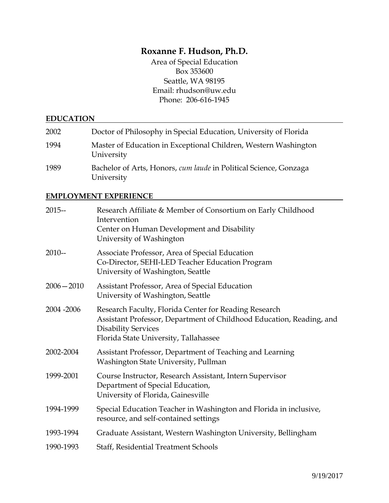# **Roxanne F. Hudson, Ph.D.**

Area of Special Education Box 353600 Seattle, WA 98195 Email: rhudson@uw.edu Phone: 206-616-1945

#### **EDUCATION**

| 2002 | Doctor of Philosophy in Special Education, University of Florida                |
|------|---------------------------------------------------------------------------------|
| 1994 | Master of Education in Exceptional Children, Western Washington<br>University   |
| 1989 | Bachelor of Arts, Honors, cum laude in Political Science, Gonzaga<br>University |

### **EMPLOYMENT EXPERIENCE**

| $2015 -$      | Research Affiliate & Member of Consortium on Early Childhood<br>Intervention<br>Center on Human Development and Disability<br>University of Washington                                               |
|---------------|------------------------------------------------------------------------------------------------------------------------------------------------------------------------------------------------------|
| $2010 -$      | Associate Professor, Area of Special Education<br>Co-Director, SEHI-LED Teacher Education Program<br>University of Washington, Seattle                                                               |
| $2006 - 2010$ | Assistant Professor, Area of Special Education<br>University of Washington, Seattle                                                                                                                  |
| 2004 - 2006   | Research Faculty, Florida Center for Reading Research<br>Assistant Professor, Department of Childhood Education, Reading, and<br><b>Disability Services</b><br>Florida State University, Tallahassee |
| 2002-2004     | Assistant Professor, Department of Teaching and Learning<br>Washington State University, Pullman                                                                                                     |
| 1999-2001     | Course Instructor, Research Assistant, Intern Supervisor<br>Department of Special Education,<br>University of Florida, Gainesville                                                                   |
| 1994-1999     | Special Education Teacher in Washington and Florida in inclusive,<br>resource, and self-contained settings                                                                                           |
| 1993-1994     | Graduate Assistant, Western Washington University, Bellingham                                                                                                                                        |
| 1990-1993     | <b>Staff, Residential Treatment Schools</b>                                                                                                                                                          |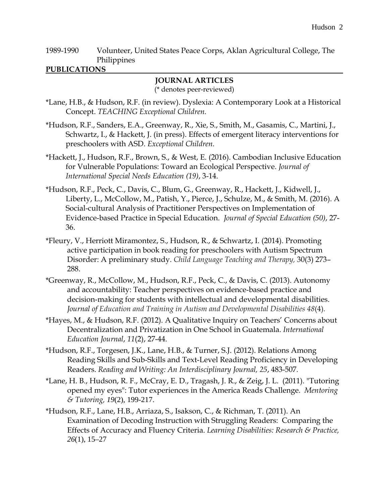1989-1990 Volunteer, United States Peace Corps, Aklan Agricultural College, The Philippines

### **PUBLICATIONS**

## **JOURNAL ARTICLES**

(\* denotes peer-reviewed)

- \*Lane, H.B., & Hudson, R.F. (in review). Dyslexia: A Contemporary Look at a Historical Concept. *TEACHING Exceptional Children.*
- \*Hudson, R.F., Sanders, E.A., Greenway, R., Xie, S., Smith, M., Gasamis, C., Martini, J., Schwartz, I., & Hackett, J. (in press). Effects of emergent literacy interventions for preschoolers with ASD. *Exceptional Children.*
- \*Hackett, J., Hudson, R.F., Brown, S., & West, E. (2016). Cambodian Inclusive Education for Vulnerable Populations: Toward an Ecological Perspective. *Journal of International Special Needs Education (19)*, 3-14.
- \*Hudson, R.F., Peck, C., Davis, C., Blum, G., Greenway, R., Hackett, J., Kidwell, J., Liberty, L., McCollow, M., Patish, Y., Pierce, J., Schulze, M., & Smith, M. (2016). A Social-cultural Analysis of Practitioner Perspectives on Implementation of Evidence-based Practice in Special Education. *Journal of Special Education (50)*, 27- 36.
- \*Fleury, V., Herriott Miramontez, S., Hudson, R., & Schwartz, I. (2014). Promoting active participation in book reading for preschoolers with Autism Spectrum Disorder: A preliminary study. *Child Language Teaching and Therapy,* 30(3) 273– 288.
- \*Greenway, R., McCollow, M., Hudson, R.F., Peck, C., & Davis, C. (2013). Autonomy and accountability: Teacher perspectives on evidence-based practice and decision-making for students with intellectual and developmental disabilities. *Journal of Education and Training in Autism and Developmental Disabilities 48*(4)*.*
- \*Hayes, M., & Hudson, R.F. (2012). A Qualitative Inquiry on Teachers' Concerns about Decentralization and Privatization in One School in Guatemala. *International Education Journal*, *11*(2), 27-44.
- \*Hudson, R.F., Torgesen, J.K., Lane, H.B., & Turner, S.J. (2012). Relations Among Reading Skills and Sub-Skills and Text-Level Reading Proficiency in Developing Readers. *Reading and Writing: An Interdisciplinary Journal, 25*, 483-507*.*
- \*Lane, H. B., Hudson, R. F., McCray, E. D., Tragash, J. R., & Zeig, J. L. (2011). "Tutoring opened my eyes": Tutor experiences in the America Reads Challenge. *Mentoring & Tutoring, 19*(2), 199-217.
- \*Hudson, R.F., Lane, H.B., Arriaza, S., Isakson, C., & Richman, T. (2011). An Examination of Decoding Instruction with Struggling Readers: Comparing the Effects of Accuracy and Fluency Criteria. *Learning Disabilities: Research & Practice, 26*(1), 15–27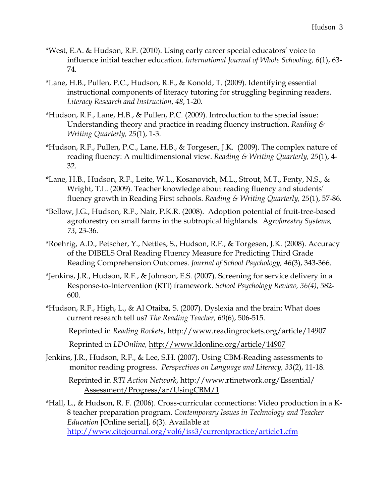- \*West, E.A. & Hudson, R.F. (2010). Using early career special educators' voice to influence initial teacher education. *International Journal of Whole Schooling, 6*(1), 63- 74*.*
- \*Lane, H.B., Pullen, P.C., Hudson, R.F., & Konold, T. (2009). Identifying essential instructional components of literacy tutoring for struggling beginning readers. *Literacy Research and Instruction*, *48*, 1-20.
- \*Hudson, R.F., Lane, H.B., & Pullen, P.C. (2009). Introduction to the special issue: Understanding theory and practice in reading fluency instruction. *Reading & Writing Quarterly, 25*(1), 1-3*.*
- \*Hudson, R.F., Pullen, P.C., Lane, H.B., & Torgesen, J.K. (2009). The complex nature of reading fluency: A multidimensional view. *Reading & Writing Quarterly, 25*(1), 4- 32*.*
- \*Lane, H.B., Hudson, R.F., Leite, W.L., Kosanovich, M.L., Strout, M.T., Fenty, N.S., & Wright, T.L. (2009). Teacher knowledge about reading fluency and students' fluency growth in Reading First schools. *Reading & Writing Quarterly, 25*(1), 57-86*.*
- \*Bellow, J.G., Hudson, R.F., Nair, P.K.R. (2008). Adoption potential of fruit-tree-based agroforestry on small farms in the subtropical highlands. A*groforestry Systems, 73*, 23-36.
- \*Roehrig, A.D., Petscher, Y., Nettles, S., Hudson, R.F., & Torgesen, J.K. (2008). Accuracy of the DIBELS Oral Reading Fluency Measure for Predicting Third Grade Reading Comprehension Outcomes. *Journal of School Psychology, 46*(3), 343-366.
- \*Jenkins, J.R., Hudson, R.F., & Johnson, E.S. (2007). Screening for service delivery in a Response-to-Intervention (RTI) framework. *School Psychology Review, 36(4)*, 582- 600.
- \*Hudson, R.F., High, L., & Al Otaiba, S. (2007). Dyslexia and the brain: What does current research tell us? *The Reading Teacher, 60*(6), 506-515. Reprinted in *Reading Rockets*, http://www.readingrockets.org/article/14907

Reprinted in *LDOnline,* http://www.ldonline.org/article/14907

Jenkins, J.R., Hudson, R.F., & Lee, S.H. (2007). Using CBM-Reading assessments to monitor reading progress. *Perspectives on Language and Literacy, 33*(2), 11-18.

Reprinted in *RTI Action Network*, http://www.rtinetwork.org/Essential/ Assessment/Progress/ar/UsingCBM/1

\*Hall, L., & Hudson, R. F. (2006). Cross-curricular connections: Video production in a K-8 teacher preparation program. *Contemporary Issues in Technology and Teacher Education* [Online serial], *6*(3). Available at <http://www.citejournal.org/vol6/iss3/currentpractice/article1.cfm>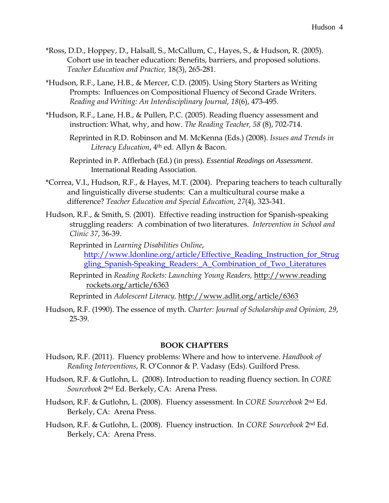- \*Ross, D.D., Hoppey, D., Halsall, S., McCallum, C., Hayes, S., & Hudson, R. (2005). Cohort use in teacher education: Benefits, barriers, and proposed solutions. *Teacher Education and Practice,* 18(3), 265-281.
- \*Hudson, R.F., Lane, H.B., & Mercer, C.D. (2005). Using Story Starters as Writing Prompts: Influences on Compositional Fluency of Second Grade Writers. *Reading and Writing: An Interdisciplinary Journal, 18*(6), 473-495*.*
- \*Hudson, R.F., Lane, H.B., & Pullen, P.C. (2005). Reading fluency assessment and instruction: What, why, and how. *The Reading Teacher, 58* (8), 702-714.
	- Reprinted in R.D. Robinson and M. McKenna (Eds.) (2008). *Issues and Trends in Literacy Education*, 4th ed. Allyn & Bacon.
	- Reprinted in P. Afflerbach (Ed.) (in press). *Essential Readings on Assessment*. International Reading Association.
- \*Correa, V.I., Hudson, R.F., & Hayes, M.T. (2004). Preparing teachers to teach culturally and linguistically diverse students: Can a multicultural course make a difference? *Teacher Education and Special Education, 27*(4), 323-341.
- Hudson, R.F., & Smith, S. (2001). Effective reading instruction for Spanish-speaking struggling readers: A combination of two literatures. *Intervention in School and Clinic 37*, 36-39.
	- Reprinted in *Learning Disabilities Online*, [http://www.ldonline.org/article/Effective\\_Reading\\_Instruction\\_for\\_Strug](http://www.ldonline.org/article/Effective_Reading_Instruction_for_Struggling_Spanish-Speaking_Readers:_A_Combination_of_Two_Literatures) [gling\\_Spanish-Speaking\\_Readers:\\_A\\_Combination\\_of\\_Two\\_Literatures](http://www.ldonline.org/article/Effective_Reading_Instruction_for_Struggling_Spanish-Speaking_Readers:_A_Combination_of_Two_Literatures)
	- Reprinted in *Reading Rockets: Launching Young Readers,* http://www.reading rockets.org/article/6363

Reprinted in *Adolescent Literacy,* http://www.adlit.org/article/6363

Hudson, R.F. (1990). The essence of myth. *Charter: Journal of Scholarship and Opinion, 29*, 25-39.

#### **BOOK CHAPTERS**

- Hudson, R.F. (2011). Fluency problems: Where and how to intervene. *Handbook of Reading Interventions*, R. O'Connor & P. Vadasy (Eds). Guilford Press.
- Hudson, R.F. & Gutlohn, L. (2008). Introduction to reading fluency section. In *CORE Sourcebook* 2nd Ed. Berkely, CA: Arena Press.
- Hudson, R.F. & Gutlohn, L. (2008). Fluency assessment. In *CORE Sourcebook* 2nd Ed. Berkely, CA: Arena Press.
- Hudson, R.F. & Gutlohn, L. (2008). Fluency instruction. In *CORE Sourcebook* 2nd Ed. Berkely, CA: Arena Press.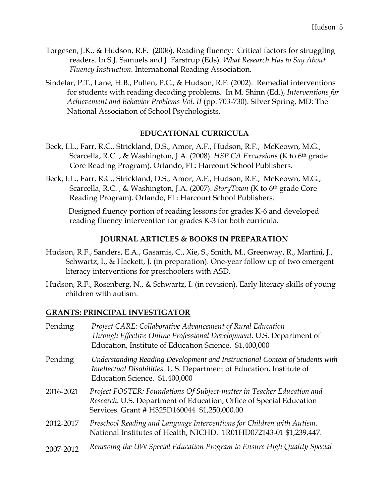- Torgesen, J.K., & Hudson, R.F. (2006). Reading fluency: Critical factors for struggling readers. In S.J. Samuels and J. Farstrup (Eds). *What Research Has to Say About Fluency Instruction.* International Reading Association.
- Sindelar, P.T., Lane, H.B., Pullen, P.C., & Hudson, R.F. (2002). Remedial interventions for students with reading decoding problems. In M. Shinn (Ed.), *Interventions for Achievement and Behavior Problems Vol. II* (pp. 703-730). Silver Spring, MD: The National Association of School Psychologists.

# **EDUCATIONAL CURRICULA**

- Beck, I.L., Farr, R.C., Strickland, D.S., Amor, A.F., Hudson, R.F., McKeown, M.G., Scarcella, R.C. , & Washington, J.A. (2008). *HSP CA Excursions* (K to 6th grade Core Reading Program). Orlando, FL: Harcourt School Publishers.
- Beck, I.L., Farr, R.C., Strickland, D.S., Amor, A.F., Hudson, R.F., McKeown, M.G., Scarcella, R.C. , & Washington, J.A. (2007). *StoryTown* (K to 6th grade Core Reading Program). Orlando, FL: Harcourt School Publishers.

Designed fluency portion of reading lessons for grades K-6 and developed reading fluency intervention for grades K-3 for both curricula.

# **JOURNAL ARTICLES & BOOKS IN PREPARATION**

- Hudson, R.F., Sanders, E.A., Gasamis, C., Xie, S., Smith, M., Greenway, R., Martini, J., Schwartz, I., & Hackett, J. (in preparation). One-year follow up of two emergent literacy interventions for preschoolers with ASD.
- Hudson, R.F., Rosenberg, N., & Schwartz, I. (in revision). Early literacy skills of young children with autism.

# **GRANTS: PRINCIPAL INVESTIGATOR**

| Pending   | Project CARE: Collaborative Advancement of Rural Education<br>Through Effective Online Professional Development. U.S. Department of<br>Education, Institute of Education Science. \$1,400,000 |
|-----------|-----------------------------------------------------------------------------------------------------------------------------------------------------------------------------------------------|
| Pending   | Understanding Reading Development and Instructional Context of Students with<br>Intellectual Disabilities. U.S. Department of Education, Institute of<br>Education Science. \$1,400,000       |
| 2016-2021 | Project FOSTER: Foundations Of Subject-matter in Teacher Education and<br>Research. U.S. Department of Education, Office of Special Education<br>Services. Grant # H325D160044 \$1,250,000.00 |
| 2012-2017 | Preschool Reading and Language Interventions for Children with Autism.<br>National Institutes of Health, NICHD. 1R01HD072143-01 \$1,239,447.                                                  |
| 2007-2012 | Renewing the UW Special Education Program to Ensure High Quality Special                                                                                                                      |
|           |                                                                                                                                                                                               |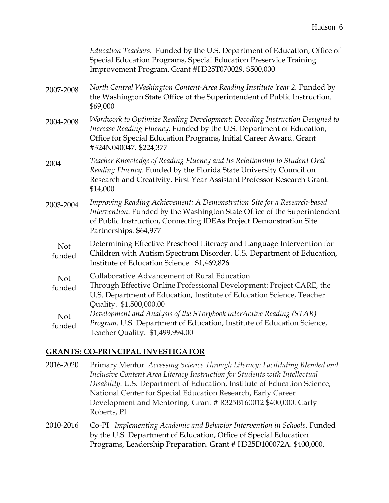|               | Education Teachers. Funded by the U.S. Department of Education, Office of<br>Special Education Programs, Special Education Preservice Training<br>Improvement Program. Grant #H325T070029. \$500,000                                                  |
|---------------|-------------------------------------------------------------------------------------------------------------------------------------------------------------------------------------------------------------------------------------------------------|
| 2007-2008     | North Central Washington Content-Area Reading Institute Year 2. Funded by<br>the Washington State Office of the Superintendent of Public Instruction.<br>\$69,000                                                                                     |
| 2004-2008     | Wordwork to Optimize Reading Development: Decoding Instruction Designed to<br>Increase Reading Fluency. Funded by the U.S. Department of Education,<br>Office for Special Education Programs, Initial Career Award. Grant<br>#324N040047. \$224,377   |
| 2004          | Teacher Knowledge of Reading Fluency and Its Relationship to Student Oral<br>Reading Fluency. Funded by the Florida State University Council on<br>Research and Creativity, First Year Assistant Professor Research Grant.<br>\$14,000                |
| 2003-2004     | Improving Reading Achievement: A Demonstration Site for a Research-based<br>Intervention. Funded by the Washington State Office of the Superintendent<br>of Public Instruction, Connecting IDEAs Project Demonstration Site<br>Partnerships. \$64,977 |
| Not<br>funded | Determining Effective Preschool Literacy and Language Intervention for<br>Children with Autism Spectrum Disorder. U.S. Department of Education,<br>Institute of Education Science. \$1,469,826                                                        |
| Not<br>funded | Collaborative Advancement of Rural Education<br>Through Effective Online Professional Development: Project CARE, the<br>U.S. Department of Education, Institute of Education Science, Teacher<br>Quality. \$1,500,000.00                              |
| Not<br>funded | Development and Analysis of the STorybook interActive Reading (STAR)<br>Program. U.S. Department of Education, Institute of Education Science,<br>Teacher Quality. \$1,499,994.00                                                                     |

### **GRANTS: CO-PRINCIPAL INVESTIGATOR**

- 2016-2020 Primary Mentor *Accessing Science Through Literacy: Facilitating Blended and Inclusive Content Area Literacy Instruction for Students with Intellectual Disability.* U.S. Department of Education, Institute of Education Science, National Center for Special Education Research, Early Career Development and Mentoring. Grant # R325B160012 \$400,000. Carly Roberts, PI
- 2010-2016 Co-PI *Implementing Academic and Behavior Intervention in Schools*. Funded by the U.S. Department of Education, Office of Special Education Programs, Leadership Preparation. Grant # H325D100072A. \$400,000.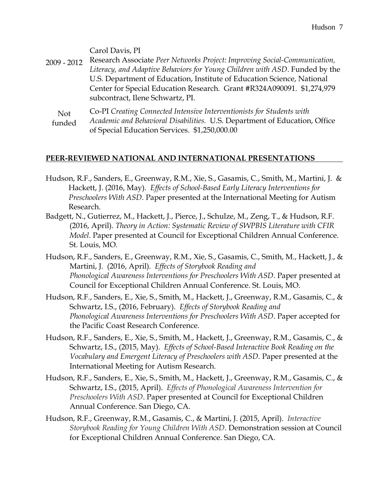Carol Davis, PI

2009 - 2012 Research Associate *Peer Networks Project: Improving Social-Communication, Literacy, and Adaptive Behaviors for Young Children with ASD*. Funded by the U.S. Department of Education, Institute of Education Science, National Center for Special Education Research. Grant #R324A090091. \$1,274,979 subcontract, Ilene Schwartz, PI.

Not funded Co-PI *Creating Connected Intensive Interventionists for Students with Academic and Behavioral Disabilities.* U.S. Department of Education, Office of Special Education Services. \$1,250,000.00

#### **PEER-REVIEWED NATIONAL AND INTERNATIONAL PRESENTATIONS**

- Hudson, R.F., Sanders, E., Greenway, R.M., Xie, S., Gasamis, C., Smith, M., Martini, J. & Hackett, J. (2016, May). *Effects of School-Based Early Literacy Interventions for Preschoolers With ASD.* Paper presented at the International Meeting for Autism Research.
- Badgett, N., Gutierrez, M., Hackett, J., Pierce, J., Schulze, M., Zeng, T., & Hudson, R.F. (2016, April). *Theory in Action: Systematic Review of SWPBIS Literature with CFIR Model.* Paper presented at Council for Exceptional Children Annual Conference. St. Louis, MO.
- Hudson, R.F., Sanders, E., Greenway, R.M., Xie, S., Gasamis, C., Smith, M., Hackett, J., & Martini, J. (2016, April). *Effects of Storybook Reading and Phonological Awareness Interventions for Preschoolers With ASD.* Paper presented at Council for Exceptional Children Annual Conference. St. Louis, MO.
- Hudson, R.F., Sanders, E., Xie, S., Smith, M., Hackett, J., Greenway, R.M., Gasamis, C., & Schwartz, I.S., (2016, February). *Effects of Storybook Reading and Phonological Awareness Interventions for Preschoolers With ASD.* Paper accepted for the Pacific Coast Research Conference.
- Hudson, R.F., Sanders, E., Xie, S., Smith, M., Hackett, J., Greenway, R.M., Gasamis, C., & Schwartz, I.S., (2015, May). *Effects of School-Based Interactive Book Reading on the Vocabulary and Emergent Literacy of Preschoolers with ASD.* Paper presented at the International Meeting for Autism Research.
- Hudson, R.F., Sanders, E., Xie, S., Smith, M., Hackett, J., Greenway, R.M., Gasamis, C., & Schwartz, I.S., (2015, April). *Effects of Phonological Awareness Intervention for Preschoolers With ASD*. Paper presented at Council for Exceptional Children Annual Conference. San Diego, CA.
- Hudson, R.F., Greenway, R.M., Gasamis, C., & Martini, J. (2015, April). *Interactive Storybook Reading for Young Children With ASD*. Demonstration session at Council for Exceptional Children Annual Conference. San Diego, CA.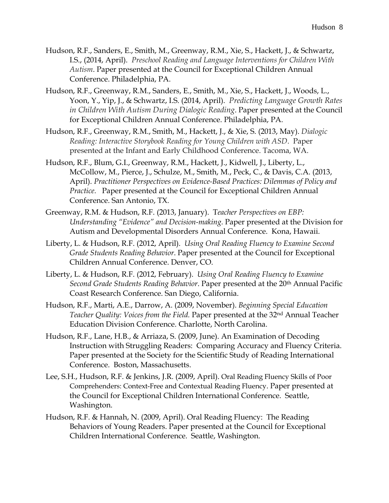- Hudson, R.F., Sanders, E., Smith, M., Greenway, R.M., Xie, S., Hackett, J., & Schwartz, I.S., (2014, April). *Preschool Reading and Language Interventions for Children With Autism*. Paper presented at the Council for Exceptional Children Annual Conference. Philadelphia, PA.
- Hudson, R.F., Greenway, R.M., Sanders, E., Smith, M., Xie, S., Hackett, J., Woods, L., Yoon, Y., Yip, J., & Schwartz, I.S. (2014, April). *Predicting Language Growth Rates in Children With Autism During Dialogic Reading*. Paper presented at the Council for Exceptional Children Annual Conference. Philadelphia, PA.
- Hudson, R.F., Greenway, R.M., Smith, M., Hackett, J., & Xie, S. (2013, May). *Dialogic Reading: Interactive Storybook Reading for Young Children with ASD*. Paper presented at the Infant and Early Childhood Conference. Tacoma, WA.
- Hudson, R.F., Blum, G.I., Greenway, R.M., Hackett, J., Kidwell, J., Liberty, L., McCollow, M., Pierce, J., Schulze, M., Smith, M., Peck, C., & Davis, C.A. (2013, April). *Practitioner Perspectives on Evidence-Based Practices: Dilemmas of Policy and Practice.* Paper presented at the Council for Exceptional Children Annual Conference. San Antonio, TX.
- Greenway, R.M. & Hudson, R.F. (2013, January). T*eacher Perspectives on EBP: Understanding "Evidence" and Decision-making.* Paper presented at the Division for Autism and Developmental Disorders Annual Conference. Kona, Hawaii.
- Liberty, L. & Hudson, R.F. (2012, April). *Using Oral Reading Fluency to Examine Second Grade Students Reading Behavior*. Paper presented at the Council for Exceptional Children Annual Conference. Denver, CO.
- Liberty, L. & Hudson, R.F. (2012, February). *Using Oral Reading Fluency to Examine Second Grade Students Reading Behavior*. Paper presented at the 20th Annual Pacific Coast Research Conference. San Diego, California.
- Hudson, R.F., Marti, A.E., Darrow, A. (2009, November). *Beginning Special Education Teacher Quality: Voices from the Field.* Paper presented at the 32nd Annual Teacher Education Division Conference. Charlotte, North Carolina.
- Hudson, R.F., Lane, H.B., & Arriaza, S. (2009, June). An Examination of Decoding Instruction with Struggling Readers: Comparing Accuracy and Fluency Criteria. Paper presented at the Society for the Scientific Study of Reading International Conference. Boston, Massachusetts.
- Lee, S.H., Hudson, R.F. & Jenkins, J.R. (2009, April). Oral Reading Fluency Skills of Poor Comprehenders: Context-Free and Contextual Reading Fluency. Paper presented at the Council for Exceptional Children International Conference. Seattle, Washington.
- Hudson, R.F. & Hannah, N. (2009, April). Oral Reading Fluency: The Reading Behaviors of Young Readers. Paper presented at the Council for Exceptional Children International Conference. Seattle, Washington.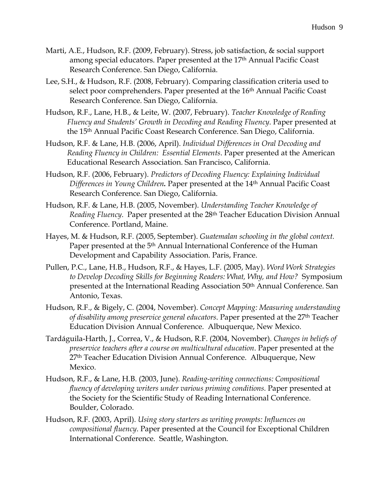- Marti, A.E., Hudson, R.F. (2009, February). Stress, job satisfaction, & social support among special educators. Paper presented at the 17<sup>th</sup> Annual Pacific Coast Research Conference. San Diego, California.
- Lee, S.H., & Hudson, R.F. (2008, February). Comparing classification criteria used to select poor comprehenders. Paper presented at the 16<sup>th</sup> Annual Pacific Coast Research Conference. San Diego, California.
- Hudson, R.F., Lane, H.B., & Leite, W. (2007, February). *Teacher Knowledge of Reading Fluency and Students' Growth in Decoding and Reading Fluency*. Paper presented at the 15th Annual Pacific Coast Research Conference. San Diego, California.
- Hudson, R.F. & Lane, H.B. (2006, April). *Individual Differences in Oral Decoding and Reading Fluency in Children: Essential Elements*. Paper presented at the American Educational Research Association. San Francisco, California.
- Hudson, R.F. (2006, February). *Predictors of Decoding Fluency: Explaining Individual Differences in Young Children.* Paper presented at the 14th Annual Pacific Coast Research Conference. San Diego, California.
- Hudson, R.F. & Lane, H.B. (2005, November). *Understanding Teacher Knowledge of Reading Fluency*. Paper presented at the 28th Teacher Education Division Annual Conference. Portland, Maine.
- Hayes, M. & Hudson, R.F. (2005, September). *Guatemalan schooling in the global context.* Paper presented at the 5th Annual International Conference of the Human Development and Capability Association. Paris, France.
- Pullen, P.C., Lane, H.B., Hudson, R.F., & Hayes, L.F. (2005, May). *Word Work Strategies to Develop Decoding Skills for Beginning Readers: What, Why, and How?* Symposium presented at the International Reading Association 50th Annual Conference. San Antonio, Texas.
- Hudson, R.F., & Bigely, C. (2004, November). *Concept Mapping: Measuring understanding of disability among preservice general educators*. Paper presented at the 27th Teacher Education Division Annual Conference. Albuquerque, New Mexico.
- Tardáguila-Harth, J., Correa, V., & Hudson, R.F. (2004, November). *Changes in beliefs of preservice teachers after a course on multicultural education*. Paper presented at the 27<sup>th</sup> Teacher Education Division Annual Conference. Albuquerque, New Mexico.
- Hudson, R.F., & Lane, H.B. (2003, June). *Reading-writing connections: Compositional fluency of developing writers under various priming conditions.* Paper presented at the Society for the Scientific Study of Reading International Conference. Boulder, Colorado.
- Hudson, R.F. (2003, April). *Using story starters as writing prompts: Influences on compositional fluency*. Paper presented at the Council for Exceptional Children International Conference. Seattle, Washington.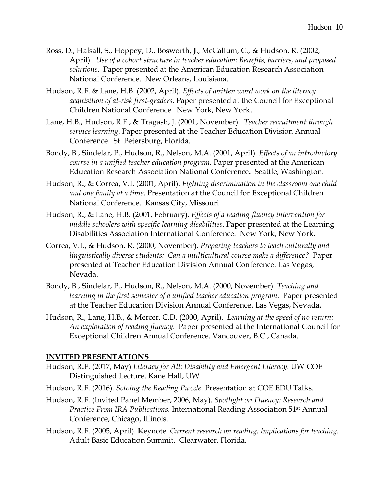- Ross, D., Halsall, S., Hoppey, D., Bosworth, J., McCallum, C., & Hudson, R. (2002, April). *Use of a cohort structure in teacher education: Benefits, barriers, and proposed solutions*. Paper presented at the American Education Research Association National Conference. New Orleans, Louisiana.
- Hudson, R.F. & Lane, H.B. (2002, April). *Effects of written word work on the literacy acquisition of at-risk first-graders.* Paper presented at the Council for Exceptional Children National Conference. New York, New York.
- Lane, H.B., Hudson, R.F., & Tragash, J. (2001, November). *Teacher recruitment through service learning*. Paper presented at the Teacher Education Division Annual Conference. St. Petersburg, Florida.
- Bondy, B., Sindelar, P., Hudson, R., Nelson, M.A. (2001, April). *Effects of an introductory course in a unified teacher education program*. Paper presented at the American Education Research Association National Conference. Seattle, Washington.
- Hudson, R., & Correa, V.I. (2001, April). *Fighting discrimination in the classroom one child and one family at a time*. Presentation at the Council for Exceptional Children National Conference. Kansas City, Missouri.
- Hudson, R., & Lane, H.B. (2001, February). *Effects of a reading fluency intervention for middle schoolers with specific learning disabilities*. Paper presented at the Learning Disabilities Association International Conference. New York, New York.
- Correa, V.I., & Hudson, R. (2000, November). *Preparing teachers to teach culturally and linguistically diverse students: Can a multicultural course make a difference?* Paper presented at Teacher Education Division Annual Conference. Las Vegas, Nevada.
- Bondy, B., Sindelar, P., Hudson, R., Nelson, M.A. (2000, November). *Teaching and learning in the first semester of a unified teacher education program*. Paper presented at the Teacher Education Division Annual Conference. Las Vegas, Nevada.
- Hudson, R., Lane, H.B., & Mercer, C.D. (2000, April). *Learning at the speed of no return: An exploration of reading fluency*. Paper presented at the International Council for Exceptional Children Annual Conference. Vancouver, B.C., Canada.

#### **INVITED PRESENTATIONS**

- Hudson, R.F. (2017, May) *Literacy for All: Disability and Emergent Literacy.* UW COE Distinguished Lecture. Kane Hall, UW
- Hudson, R.F. (2016). *Solving the Reading Puzzle*. Presentation at COE EDU Talks.
- Hudson, R.F. (Invited Panel Member, 2006, May). *Spotlight on Fluency: Research and Practice From IRA Publications.* International Reading Association 51st Annual Conference, Chicago, Illinois.
- Hudson, R.F. (2005, April). Keynote. *Current research on reading: Implications for teaching.* Adult Basic Education Summit. Clearwater, Florida.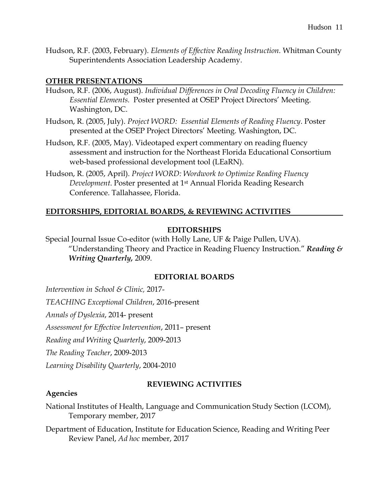Hudson, R.F. (2003, February). *Elements of Effective Reading Instruction.* Whitman County Superintendents Association Leadership Academy.

### **OTHER PRESENTATIONS**

- Hudson, R.F. (2006, August). *Individual Differences in Oral Decoding Fluency in Children: Essential Elements.* Poster presented at OSEP Project Directors' Meeting. Washington, DC.
- Hudson, R. (2005, July). *Project WORD: Essential Elements of Reading Fluency*. Poster presented at the OSEP Project Directors' Meeting. Washington, DC.
- Hudson, R.F. (2005, May). Videotaped expert commentary on reading fluency assessment and instruction for the Northeast Florida Educational Consortium web-based professional development tool (LEaRN).
- Hudson, R. (2005, April). *Project WORD: Wordwork to Optimize Reading Fluency Development*. Poster presented at 1st Annual Florida Reading Research Conference. Tallahassee, Florida.

### **EDITORSHIPS, EDITORIAL BOARDS, & REVIEWING ACTIVITIES**

### **EDITORSHIPS**

Special Journal Issue Co-editor (with Holly Lane, UF & Paige Pullen, UVA). "Understanding Theory and Practice in Reading Fluency Instruction." *Reading & Writing Quarterly,* 2009.

### **EDITORIAL BOARDS**

*Intervention in School & Clinic,* 2017-

*TEACHING Exceptional Children*, 2016-present

*Annals of Dyslexia*, 2014- present

*Assessment for Effective Intervention*, 2011– present

*Reading and Writing Quarterly*, 2009-2013

*The Reading Teacher*, 2009-2013

*Learning Disability Quarterly*, 2004-2010

### **Agencies**

### **REVIEWING ACTIVITIES**

National Institutes of Health, Language and Communication Study Section (LCOM), Temporary member, 2017

Department of Education, Institute for Education Science, Reading and Writing Peer Review Panel, *Ad hoc* member, 2017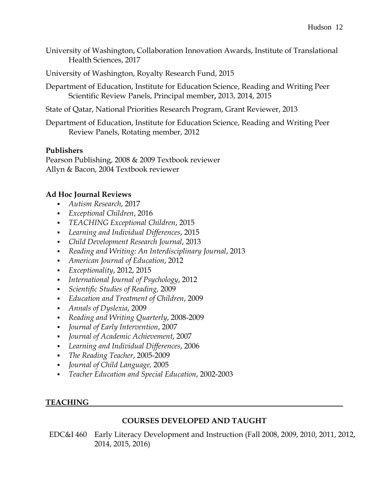- University of Washington, Collaboration Innovation Awards, Institute of Translational Health Sciences, 2017
- University of Washington, Royalty Research Fund, 2015
- Department of Education, Institute for Education Science, Reading and Writing Peer Scientific Review Panels, Principal member**,** 2013, 2014, 2015
- State of Qatar, National Priorities Research Program, Grant Reviewer, 2013

Department of Education, Institute for Education Science, Reading and Writing Peer Review Panels, Rotating member, 2012

### **Publishers**

Pearson Publishing, 2008 & 2009 Textbook reviewer Allyn & Bacon, 2004 Textbook reviewer

# **Ad Hoc Journal Reviews**

- *Autism Research*, 2017
- *Exceptional Children*, 2016
- *TEACHING Exceptional Children*, 2015
- *Learning and Individual Differences*, 2015
- *Child Development Research Journal*, 2013
- *Reading and Writing: An Interdisciplinary Journal*, 2013
- *American Journal of Education*, 2012
- *Exceptionality*, 2012, 2015
- *International Journal of Psychology*, 2012
- *Scientific Studies of Reading,* 2009
- *Education and Treatment of Children*, 2009
- *Annals of Dyslexia*, 2009
- *Reading and Writing Quarterly*, 2008-2009
- *Journal of Early Intervention*, 2007
- *Journal of Academic Achievement*, 2007
- *Learning and Individual Differences*, 2006
- *The Reading Teacher*, 2005-2009
- *Journal of Child Language,* 2005
- *Teacher Education and Special Education*, 2002-2003

# **TEACHING**

### **COURSES DEVELOPED AND TAUGHT**

EDC&I 460 Early Literacy Development and Instruction (Fall 2008, 2009, 2010, 2011, 2012, 2014, 2015, 2016)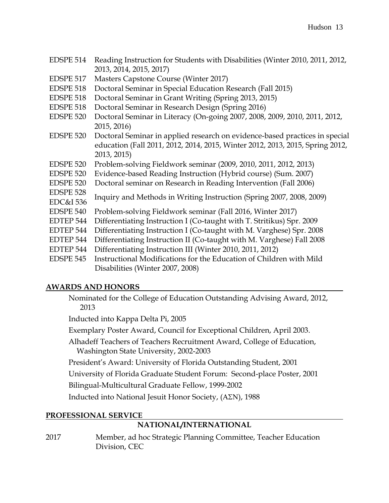| EDSPE 514 Reading Instruction for Students with Disabilities (Winter 2010, 2011, 2012, |
|----------------------------------------------------------------------------------------|
| 2013, 2014, 2015, 2017)                                                                |

- EDSPE 517 Masters Capstone Course (Winter 2017)
- EDSPE 518 Doctoral Seminar in Special Education Research (Fall 2015)
- EDSPE 518 Doctoral Seminar in Grant Writing (Spring 2013, 2015)
- EDSPE 518 Doctoral Seminar in Research Design (Spring 2016)
- EDSPE 520 Doctoral Seminar in Literacy (On-going 2007, 2008, 2009, 2010, 2011, 2012, 2015, 2016)
- EDSPE 520 Doctoral Seminar in applied research on evidence-based practices in special education (Fall 2011, 2012, 2014, 2015, Winter 2012, 2013, 2015, Spring 2012, 2013, 2015)
- EDSPE 520 Problem-solving Fieldwork seminar (2009, 2010, 2011, 2012, 2013)
- EDSPE 520 Evidence-based Reading Instruction (Hybrid course) (Sum. 2007)
- EDSPE 520 Doctoral seminar on Research in Reading Intervention (Fall 2006)
- EDSPE 528 EDC&I 536 Inquiry and Methods in Writing Instruction (Spring 2007, 2008, 2009)
- EDSPE 540 Problem-solving Fieldwork seminar (Fall 2016, Winter 2017)
- EDTEP 544 Differentiating Instruction I (Co-taught with T. Stritikus) Spr. 2009
- EDTEP 544 Differentiating Instruction I (Co-taught with M. Varghese) Spr. 2008
- EDTEP 544 Differentiating Instruction II (Co-taught with M. Varghese) Fall 2008
- EDTEP 544 Differentiating Instruction III (Winter 2010, 2011, 2012)
- EDSPE 545 Instructional Modifications for the Education of Children with Mild Disabilities (Winter 2007, 2008)

### **AWARDS AND HONORS**

Nominated for the College of Education Outstanding Advising Award, 2012, 2013

Inducted into Kappa Delta Pi, 2005

Exemplary Poster Award, Council for Exceptional Children, April 2003.

Alhadeff Teachers of Teachers Recruitment Award, College of Education, Washington State University, 2002-2003

President's Award: University of Florida Outstanding Student, 2001

University of Florida Graduate Student Forum: Second-place Poster, 2001

Bilingual-Multicultural Graduate Fellow, 1999-2002

Inducted into National Jesuit Honor Society, (ΑΣΝ), 1988

### **PROFESSIONAL SERVICE**

# **NATIONAL/INTERNATIONAL**

2017 Member, ad hoc Strategic Planning Committee, Teacher Education Division, CEC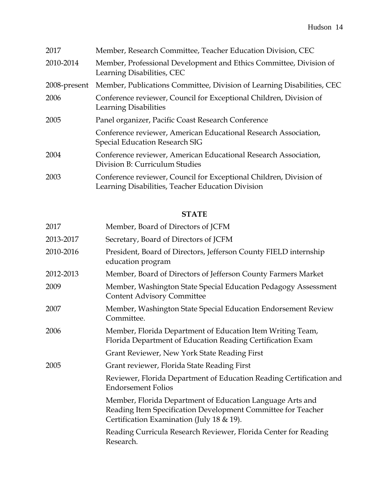| 2017         | Member, Research Committee, Teacher Education Division, CEC                                                             |
|--------------|-------------------------------------------------------------------------------------------------------------------------|
| 2010-2014    | Member, Professional Development and Ethics Committee, Division of<br>Learning Disabilities, CEC                        |
| 2008-present | Member, Publications Committee, Division of Learning Disabilities, CEC                                                  |
| 2006         | Conference reviewer, Council for Exceptional Children, Division of<br><b>Learning Disabilities</b>                      |
| 2005         | Panel organizer, Pacific Coast Research Conference                                                                      |
|              | Conference reviewer, American Educational Research Association,<br>Special Education Research SIG                       |
| 2004         | Conference reviewer, American Educational Research Association,<br>Division B: Curriculum Studies                       |
| 2003         | Conference reviewer, Council for Exceptional Children, Division of<br>Learning Disabilities, Teacher Education Division |

# **STATE**

| 2017      | Member, Board of Directors of JCFM                                                                                                                                     |
|-----------|------------------------------------------------------------------------------------------------------------------------------------------------------------------------|
| 2013-2017 | Secretary, Board of Directors of JCFM                                                                                                                                  |
| 2010-2016 | President, Board of Directors, Jefferson County FIELD internship<br>education program                                                                                  |
| 2012-2013 | Member, Board of Directors of Jefferson County Farmers Market                                                                                                          |
| 2009      | Member, Washington State Special Education Pedagogy Assessment<br><b>Content Advisory Committee</b>                                                                    |
| 2007      | Member, Washington State Special Education Endorsement Review<br>Committee.                                                                                            |
| 2006      | Member, Florida Department of Education Item Writing Team,<br>Florida Department of Education Reading Certification Exam                                               |
|           | Grant Reviewer, New York State Reading First                                                                                                                           |
| 2005      | Grant reviewer, Florida State Reading First                                                                                                                            |
|           | Reviewer, Florida Department of Education Reading Certification and<br><b>Endorsement Folios</b>                                                                       |
|           | Member, Florida Department of Education Language Arts and<br>Reading Item Specification Development Committee for Teacher<br>Certification Examination (July 18 & 19). |
|           | Reading Curricula Research Reviewer, Florida Center for Reading<br>Research.                                                                                           |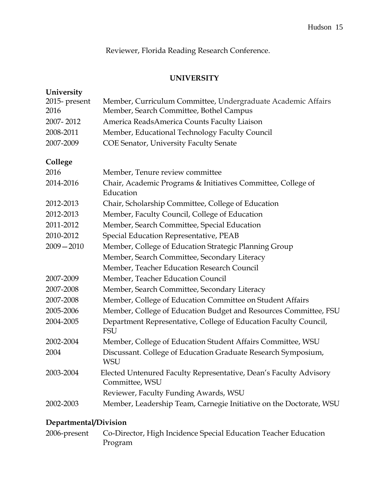Reviewer, Florida Reading Research Conference.

# **UNIVERSITY**

| University    |                                                                                     |
|---------------|-------------------------------------------------------------------------------------|
| 2015- present | Member, Curriculum Committee, Undergraduate Academic Affairs                        |
| 2016          | Member, Search Committee, Bothel Campus                                             |
| 2007-2012     | America ReadsAmerica Counts Faculty Liaison                                         |
| 2008-2011     | Member, Educational Technology Faculty Council                                      |
| 2007-2009     | <b>COE Senator, University Faculty Senate</b>                                       |
| College       |                                                                                     |
| 2016          | Member, Tenure review committee                                                     |
| 2014-2016     | Chair, Academic Programs & Initiatives Committee, College of<br>Education           |
| 2012-2013     | Chair, Scholarship Committee, College of Education                                  |
| 2012-2013     | Member, Faculty Council, College of Education                                       |
| 2011-2012     | Member, Search Committee, Special Education                                         |
| 2010-2012     | Special Education Representative, PEAB                                              |
| $2009 - 2010$ | Member, College of Education Strategic Planning Group                               |
|               | Member, Search Committee, Secondary Literacy                                        |
|               | Member, Teacher Education Research Council                                          |
| 2007-2009     | Member, Teacher Education Council                                                   |
| 2007-2008     | Member, Search Committee, Secondary Literacy                                        |
| 2007-2008     | Member, College of Education Committee on Student Affairs                           |
| 2005-2006     | Member, College of Education Budget and Resources Committee, FSU                    |
| 2004-2005     | Department Representative, College of Education Faculty Council,<br><b>FSU</b>      |
| 2002-2004     | Member, College of Education Student Affairs Committee, WSU                         |
| 2004          | Discussant. College of Education Graduate Research Symposium,<br><b>WSU</b>         |
| 2003-2004     | Elected Untenured Faculty Representative, Dean's Faculty Advisory<br>Committee, WSU |
|               | Reviewer, Faculty Funding Awards, WSU                                               |
| 2002-2003     | Member, Leadership Team, Carnegie Initiative on the Doctorate, WSU                  |

# **Departmental/Division**

2006-present Co-Director, High Incidence Special Education Teacher Education Program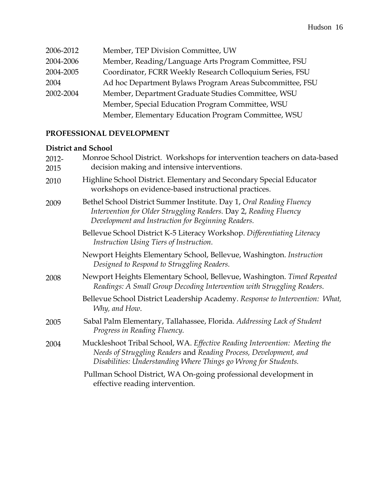| 2006-2012 | Member, TEP Division Committee, UW                       |
|-----------|----------------------------------------------------------|
| 2004-2006 | Member, Reading/Language Arts Program Committee, FSU     |
| 2004-2005 | Coordinator, FCRR Weekly Research Colloquium Series, FSU |
| 2004      | Ad hoc Department Bylaws Program Areas Subcommittee, FSU |
| 2002-2004 | Member, Department Graduate Studies Committee, WSU       |
|           | Member, Special Education Program Committee, WSU         |
|           | Member, Elementary Education Program Committee, WSU      |

# **PROFESSIONAL DEVELOPMENT**

## **District and School**

| 2012-<br>2015 | Monroe School District. Workshops for intervention teachers on data-based<br>decision making and intensive interventions.                                                                                          |
|---------------|--------------------------------------------------------------------------------------------------------------------------------------------------------------------------------------------------------------------|
| 2010          | Highline School District. Elementary and Secondary Special Educator<br>workshops on evidence-based instructional practices.                                                                                        |
| 2009          | Bethel School District Summer Institute. Day 1, Oral Reading Fluency<br>Intervention for Older Struggling Readers. Day 2, Reading Fluency<br>Development and Instruction for Beginning Readers.                    |
|               | Bellevue School District K-5 Literacy Workshop. Differentiating Literacy<br>Instruction Using Tiers of Instruction.                                                                                                |
|               | Newport Heights Elementary School, Bellevue, Washington. Instruction<br>Designed to Respond to Struggling Readers.                                                                                                 |
| 2008          | Newport Heights Elementary School, Bellevue, Washington. Timed Repeated<br>Readings: A Small Group Decoding Intervention with Struggling Readers.                                                                  |
|               | Bellevue School District Leadership Academy. Response to Intervention: What,<br>Why, and How.                                                                                                                      |
| 2005          | Sabal Palm Elementary, Tallahassee, Florida. Addressing Lack of Student<br>Progress in Reading Fluency.                                                                                                            |
| 2004          | Muckleshoot Tribal School, WA. Effective Reading Intervention: Meeting the<br>Needs of Struggling Readers and Reading Process, Development, and<br>Disabilities: Understanding Where Things go Wrong for Students. |
|               | Pullman School District, WA On-going professional development in<br>effective reading intervention.                                                                                                                |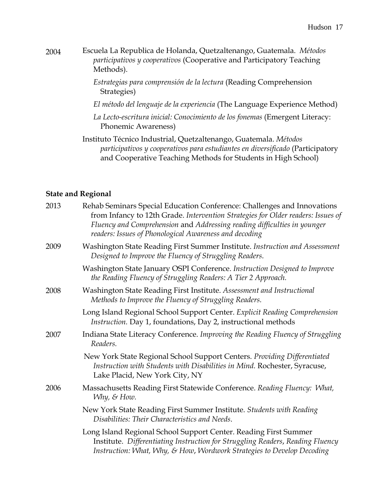- 2004 Escuela La Republica de Holanda, Quetzaltenango, Guatemala. *Métodos participativos y cooperativos* (Cooperative and Participatory Teaching Methods).
	- *Estrategias para comprensión de la lectura* (Reading Comprehension Strategies)
	- *El método del lenguaje de la experiencia* (The Language Experience Method)
	- *La Lecto-escritura inicial: Conocimiento de los fonemas* (Emergent Literacy: Phonemic Awareness)
	- Instituto Técnico Industrial, Quetzaltenango, Guatemala. *Métodos participativos y cooperativos para estudiantes en diversificado* (Participatory and Cooperative Teaching Methods for Students in High School)

## **State and Regional**

| 2013 | Rehab Seminars Special Education Conference: Challenges and Innovations<br>from Infancy to 12th Grade. Intervention Strategies for Older readers: Issues of<br>Fluency and Comprehension and Addressing reading difficulties in younger<br>readers: Issues of Phonological Awareness and decoding |
|------|---------------------------------------------------------------------------------------------------------------------------------------------------------------------------------------------------------------------------------------------------------------------------------------------------|
| 2009 | Washington State Reading First Summer Institute. Instruction and Assessment<br>Designed to Improve the Fluency of Struggling Readers.                                                                                                                                                             |
|      | Washington State January OSPI Conference. Instruction Designed to Improve<br>the Reading Fluency of Struggling Readers: A Tier 2 Approach.                                                                                                                                                        |
| 2008 | Washington State Reading First Institute. Assessment and Instructional<br>Methods to Improve the Fluency of Struggling Readers.                                                                                                                                                                   |
|      | Long Island Regional School Support Center. Explicit Reading Comprehension<br>Instruction. Day 1, foundations, Day 2, instructional methods                                                                                                                                                       |
| 2007 | Indiana State Literacy Conference. Improving the Reading Fluency of Struggling<br>Readers.                                                                                                                                                                                                        |
|      | New York State Regional School Support Centers. Providing Differentiated<br>Instruction with Students with Disabilities in Mind. Rochester, Syracuse,<br>Lake Placid, New York City, NY                                                                                                           |
| 2006 | Massachusetts Reading First Statewide Conference. Reading Fluency: What,<br>Why, & How.                                                                                                                                                                                                           |
|      | New York State Reading First Summer Institute. Students with Reading<br>Disabilities: Their Characteristics and Needs.                                                                                                                                                                            |
|      | Long Island Regional School Support Center. Reading First Summer<br>Institute. Differentiating Instruction for Struggling Readers, Reading Fluency<br>Instruction: What, Why, & How, Wordwork Strategies to Develop Decoding                                                                      |